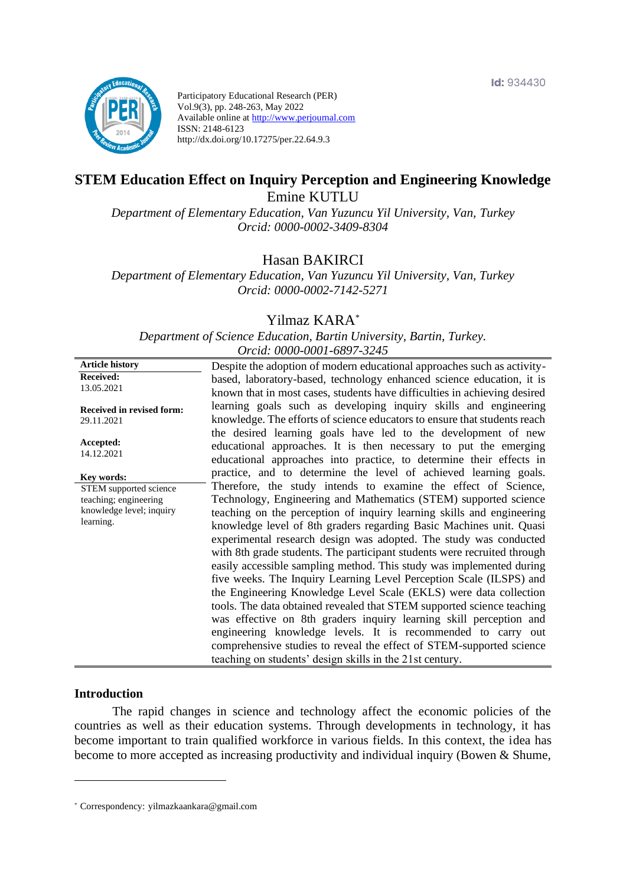

Participatory Educational Research (PER) Vol.9(3), pp. 248-263, May 2022 Available online at http://www.perjournal.com ISSN: 2148-6123 http://dx.doi.org/10.17275/per.22.64.9.3

# **STEM Education Effect on Inquiry Perception and Engineering Knowledge** Emine KUTLU

*Department of Elementary Education, Van Yuzuncu Yil University, Van, Turkey Orcid: 0000-0002-3409-8304*

Hasan BAKIRCI

*Department of Elementary Education, Van Yuzuncu Yil University, Van, Turkey Orcid: 0000-0002-7142-5271*

Yilmaz KARA\*

*Department of Science Education, Bartin University, Bartin, Turkey. Orcid: 0000-0001-6897-3245*

| <b>Article history</b>                  | Despite the adoption of modern educational approaches such as activity-                                                                                                                                  |
|-----------------------------------------|----------------------------------------------------------------------------------------------------------------------------------------------------------------------------------------------------------|
| <b>Received:</b>                        | based, laboratory-based, technology enhanced science education, it is                                                                                                                                    |
| 13.05.2021                              | known that in most cases, students have difficulties in achieving desired                                                                                                                                |
| Received in revised form:<br>29.11.2021 | learning goals such as developing inquiry skills and engineering<br>knowledge. The efforts of science educators to ensure that students reach                                                            |
| Accepted:<br>14.12.2021                 | the desired learning goals have led to the development of new<br>educational approaches. It is then necessary to put the emerging<br>educational approaches into practice, to determine their effects in |
| Key words:                              | practice, and to determine the level of achieved learning goals.                                                                                                                                         |
| STEM supported science                  | Therefore, the study intends to examine the effect of Science,                                                                                                                                           |
| teaching; engineering                   | Technology, Engineering and Mathematics (STEM) supported science                                                                                                                                         |
| knowledge level; inquiry<br>learning.   | teaching on the perception of inquiry learning skills and engineering                                                                                                                                    |
|                                         | knowledge level of 8th graders regarding Basic Machines unit. Quasi                                                                                                                                      |
|                                         | experimental research design was adopted. The study was conducted                                                                                                                                        |
|                                         | with 8th grade students. The participant students were recruited through                                                                                                                                 |
|                                         | easily accessible sampling method. This study was implemented during                                                                                                                                     |
|                                         | five weeks. The Inquiry Learning Level Perception Scale (ILSPS) and                                                                                                                                      |
|                                         | the Engineering Knowledge Level Scale (EKLS) were data collection                                                                                                                                        |
|                                         | tools. The data obtained revealed that STEM supported science teaching                                                                                                                                   |
|                                         | was effective on 8th graders inquiry learning skill perception and                                                                                                                                       |
|                                         | engineering knowledge levels. It is recommended to carry out                                                                                                                                             |
|                                         | comprehensive studies to reveal the effect of STEM-supported science                                                                                                                                     |
|                                         | teaching on students' design skills in the 21st century.                                                                                                                                                 |

#### **Introduction**

The rapid changes in science and technology affect the economic policies of the countries as well as their education systems. Through developments in technology, it has become important to train qualified workforce in various fields. In this context, the idea has become to more accepted as increasing productivity and individual inquiry (Bowen & Shume,

<sup>\*</sup> [Correspondency:](mailto:Correspondency:) yilmazkaankara@gmail.com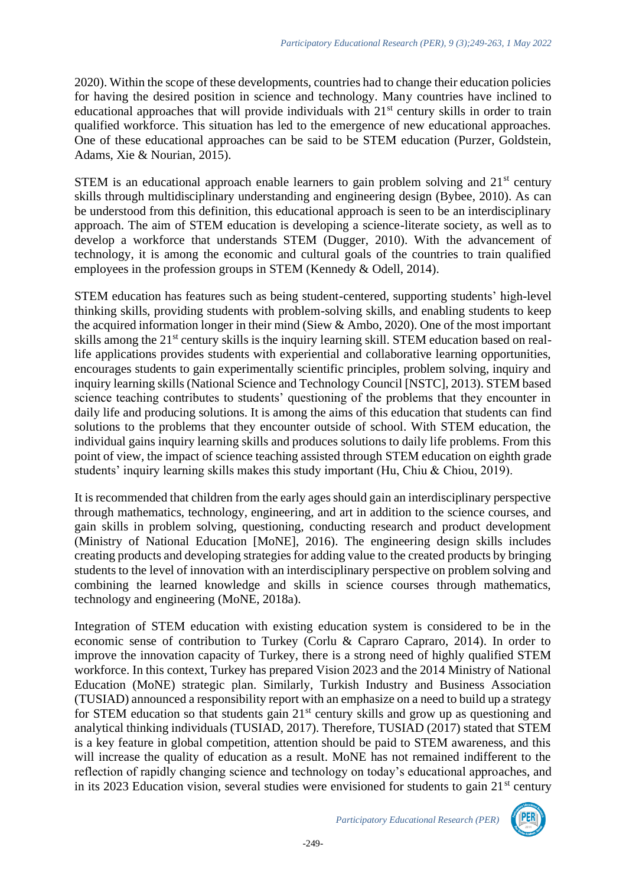2020). Within the scope of these developments, countries had to change their education policies for having the desired position in science and technology. Many countries have inclined to educational approaches that will provide individuals with 21<sup>st</sup> century skills in order to train qualified workforce. This situation has led to the emergence of new educational approaches. One of these educational approaches can be said to be STEM education (Purzer, Goldstein, Adams, Xie & Nourian, 2015).

STEM is an educational approach enable learners to gain problem solving and  $21<sup>st</sup>$  century skills through multidisciplinary understanding and engineering design (Bybee, 2010). As can be understood from this definition, this educational approach is seen to be an interdisciplinary approach. The aim of STEM education is developing a science-literate society, as well as to develop a workforce that understands STEM (Dugger, 2010). With the advancement of technology, it is among the economic and cultural goals of the countries to train qualified employees in the profession groups in STEM (Kennedy & Odell, 2014).

STEM education has features such as being student-centered, supporting students' high-level thinking skills, providing students with problem-solving skills, and enabling students to keep the acquired information longer in their mind (Siew & Ambo, 2020). One of the most important skills among the 21<sup>st</sup> century skills is the inquiry learning skill. STEM education based on reallife applications provides students with experiential and collaborative learning opportunities, encourages students to gain experimentally scientific principles, problem solving, inquiry and inquiry learning skills (National Science and Technology Council [NSTC], 2013). STEM based science teaching contributes to students' questioning of the problems that they encounter in daily life and producing solutions. It is among the aims of this education that students can find solutions to the problems that they encounter outside of school. With STEM education, the individual gains inquiry learning skills and produces solutions to daily life problems. From this point of view, the impact of science teaching assisted through STEM education on eighth grade students' inquiry learning skills makes this study important (Hu, Chiu & Chiou, 2019).

It is recommended that children from the early ages should gain an interdisciplinary perspective through mathematics, technology, engineering, and art in addition to the science courses, and gain skills in problem solving, questioning, conducting research and product development (Ministry of National Education [MoNE], 2016). The engineering design skills includes creating products and developing strategies for adding value to the created products by bringing students to the level of innovation with an interdisciplinary perspective on problem solving and combining the learned knowledge and skills in science courses through mathematics, technology and engineering (MoNE, 2018a).

Integration of STEM education with existing education system is considered to be in the economic sense of contribution to Turkey (Corlu & Capraro Capraro, 2014). In order to improve the innovation capacity of Turkey, there is a strong need of highly qualified STEM workforce. In this context, Turkey has prepared Vision 2023 and the 2014 Ministry of National Education (MoNE) strategic plan. Similarly, Turkish Industry and Business Association (TUSIAD) announced a responsibility report with an emphasize on a need to build up a strategy for STEM education so that students gain 21<sup>st</sup> century skills and grow up as questioning and analytical thinking individuals (TUSIAD, 2017). Therefore, TUSIAD (2017) stated that STEM is a key feature in global competition, attention should be paid to STEM awareness, and this will increase the quality of education as a result. MoNE has not remained indifferent to the reflection of rapidly changing science and technology on today's educational approaches, and in its 2023 Education vision, several studies were envisioned for students to gain  $21<sup>st</sup>$  century

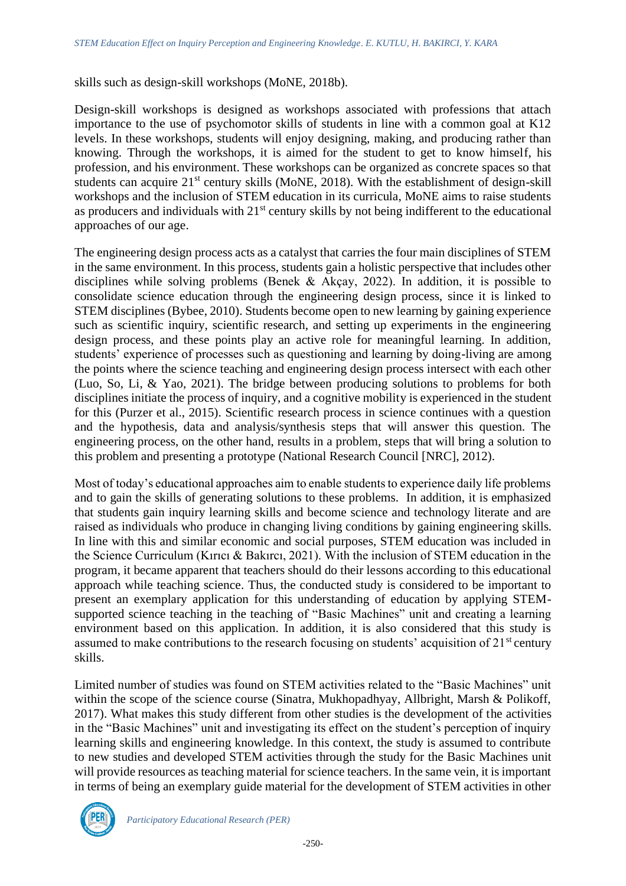skills such as design-skill workshops (MoNE, 2018b).

Design-skill workshops is designed as workshops associated with professions that attach importance to the use of psychomotor skills of students in line with a common goal at K12 levels. In these workshops, students will enjoy designing, making, and producing rather than knowing. Through the workshops, it is aimed for the student to get to know himself, his profession, and his environment. These workshops can be organized as concrete spaces so that students can acquire 21<sup>st</sup> century skills (MoNE, 2018). With the establishment of design-skill workshops and the inclusion of STEM education in its curricula, MoNE aims to raise students as producers and individuals with 21<sup>st</sup> century skills by not being indifferent to the educational approaches of our age.

The engineering design process acts as a catalyst that carries the four main disciplines of STEM in the same environment. In this process, students gain a holistic perspective that includes other disciplines while solving problems (Benek & Akçay, 2022). In addition, it is possible to consolidate science education through the engineering design process, since it is linked to STEM disciplines (Bybee, 2010). Students become open to new learning by gaining experience such as scientific inquiry, scientific research, and setting up experiments in the engineering design process, and these points play an active role for meaningful learning. In addition, students' experience of processes such as questioning and learning by doing-living are among the points where the science teaching and engineering design process intersect with each other (Luo, So, Li, & Yao, 2021). The bridge between producing solutions to problems for both disciplines initiate the process of inquiry, and a cognitive mobility is experienced in the student for this (Purzer et al., 2015). Scientific research process in science continues with a question and the hypothesis, data and analysis/synthesis steps that will answer this question. The engineering process, on the other hand, results in a problem, steps that will bring a solution to this problem and presenting a prototype (National Research Council [NRC], 2012).

Most of today's educational approaches aim to enable students to experience daily life problems and to gain the skills of generating solutions to these problems. In addition, it is emphasized that students gain inquiry learning skills and become science and technology literate and are raised as individuals who produce in changing living conditions by gaining engineering skills. In line with this and similar economic and social purposes, STEM education was included in the Science Curriculum (Kırıcı & Bakırcı, 2021). With the inclusion of STEM education in the program, it became apparent that teachers should do their lessons according to this educational approach while teaching science. Thus, the conducted study is considered to be important to present an exemplary application for this understanding of education by applying STEMsupported science teaching in the teaching of "Basic Machines" unit and creating a learning environment based on this application. In addition, it is also considered that this study is assumed to make contributions to the research focusing on students' acquisition of  $21<sup>st</sup>$  century skills.

Limited number of studies was found on STEM activities related to the "Basic Machines" unit within the scope of the science course (Sinatra, Mukhopadhyay, Allbright, Marsh & Polikoff, 2017). What makes this study different from other studies is the development of the activities in the "Basic Machines" unit and investigating its effect on the student's perception of inquiry learning skills and engineering knowledge. In this context, the study is assumed to contribute to new studies and developed STEM activities through the study for the Basic Machines unit will provide resources as teaching material for science teachers. In the same vein, it is important in terms of being an exemplary guide material for the development of STEM activities in other

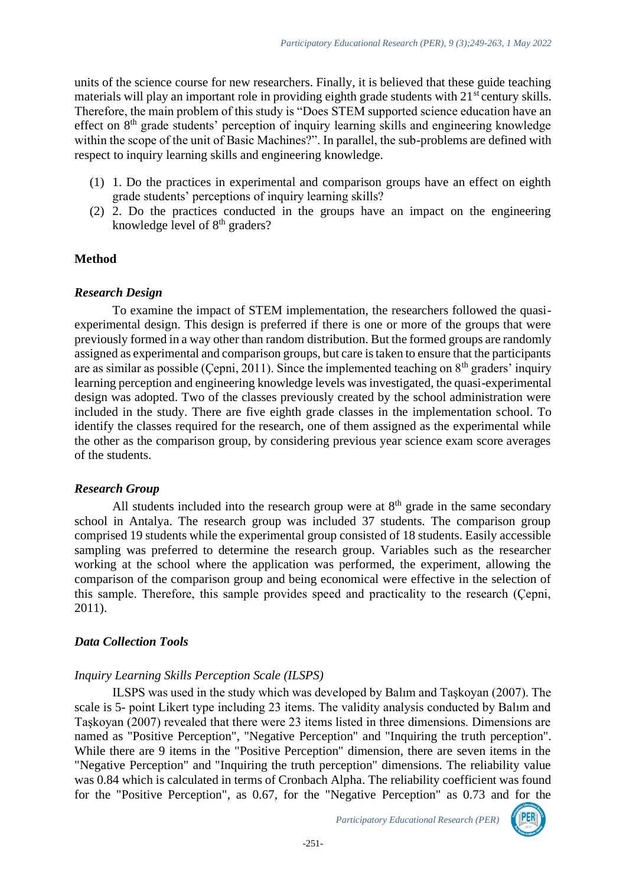units of the science course for new researchers. Finally, it is believed that these guide teaching materials will play an important role in providing eighth grade students with 21<sup>st</sup> century skills. Therefore, the main problem of this study is "Does STEM supported science education have an effect on  $8<sup>th</sup>$  grade students' perception of inquiry learning skills and engineering knowledge within the scope of the unit of Basic Machines?". In parallel, the sub-problems are defined with respect to inquiry learning skills and engineering knowledge.

- (1) 1. Do the practices in experimental and comparison groups have an effect on eighth grade students' perceptions of inquiry learning skills?
- (2) 2. Do the practices conducted in the groups have an impact on the engineering knowledge level of  $8<sup>th</sup>$  graders?

## **Method**

### *Research Design*

To examine the impact of STEM implementation, the researchers followed the quasiexperimental design. This design is preferred if there is one or more of the groups that were previously formed in a way other than random distribution. But the formed groups are randomly assigned as experimental and comparison groups, but care is taken to ensure that the participants are as similar as possible (Cepni, 2011). Since the implemented teaching on  $8<sup>th</sup>$  graders' inquiry learning perception and engineering knowledge levels was investigated, the quasi-experimental design was adopted. Two of the classes previously created by the school administration were included in the study. There are five eighth grade classes in the implementation school. To identify the classes required for the research, one of them assigned as the experimental while the other as the comparison group, by considering previous year science exam score averages of the students.

#### *Research Group*

All students included into the research group were at  $8<sup>th</sup>$  grade in the same secondary school in Antalya. The research group was included 37 students. The comparison group comprised 19 students while the experimental group consisted of 18 students. Easily accessible sampling was preferred to determine the research group. Variables such as the researcher working at the school where the application was performed, the experiment, allowing the comparison of the comparison group and being economical were effective in the selection of this sample. Therefore, this sample provides speed and practicality to the research (Çepni, 2011).

## *Data Collection Tools*

## *Inquiry Learning Skills Perception Scale (ILSPS)*

ILSPS was used in the study which was developed by Balım and Taşkoyan (2007). The scale is 5- point Likert type including 23 items. The validity analysis conducted by Balım and Taşkoyan (2007) revealed that there were 23 items listed in three dimensions. Dimensions are named as "Positive Perception", "Negative Perception" and "Inquiring the truth perception". While there are 9 items in the "Positive Perception" dimension, there are seven items in the "Negative Perception" and "Inquiring the truth perception" dimensions. The reliability value was 0.84 which is calculated in terms of Cronbach Alpha. The reliability coefficient was found for the "Positive Perception", as 0.67, for the "Negative Perception" as 0.73 and for the

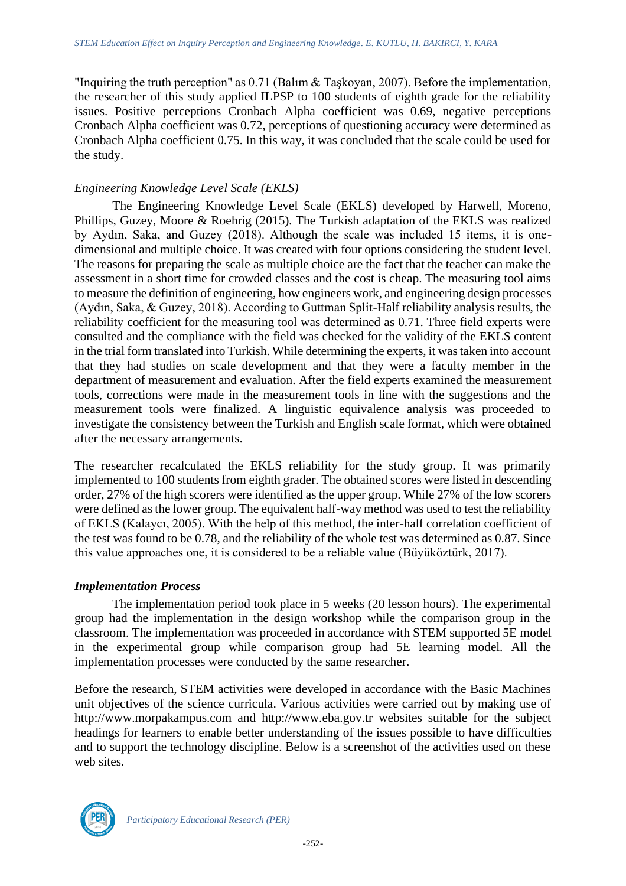"Inquiring the truth perception" as 0.71 (Balım & Taşkoyan, 2007). Before the implementation, the researcher of this study applied ILPSP to 100 students of eighth grade for the reliability issues. Positive perceptions Cronbach Alpha coefficient was 0.69, negative perceptions Cronbach Alpha coefficient was 0.72, perceptions of questioning accuracy were determined as Cronbach Alpha coefficient 0.75. In this way, it was concluded that the scale could be used for the study.

## *Engineering Knowledge Level Scale (EKLS)*

The Engineering Knowledge Level Scale (EKLS) developed by Harwell, Moreno, Phillips, Guzey, Moore & Roehrig (2015). The Turkish adaptation of the EKLS was realized by Aydın, Saka, and Guzey (2018). Although the scale was included 15 items, it is onedimensional and multiple choice. It was created with four options considering the student level. The reasons for preparing the scale as multiple choice are the fact that the teacher can make the assessment in a short time for crowded classes and the cost is cheap. The measuring tool aims to measure the definition of engineering, how engineers work, and engineering design processes (Aydın, Saka, & Guzey, 2018). According to Guttman Split-Half reliability analysis results, the reliability coefficient for the measuring tool was determined as 0.71. Three field experts were consulted and the compliance with the field was checked for the validity of the EKLS content in the trial form translated into Turkish. While determining the experts, it was taken into account that they had studies on scale development and that they were a faculty member in the department of measurement and evaluation. After the field experts examined the measurement tools, corrections were made in the measurement tools in line with the suggestions and the measurement tools were finalized. A linguistic equivalence analysis was proceeded to investigate the consistency between the Turkish and English scale format, which were obtained after the necessary arrangements.

The researcher recalculated the EKLS reliability for the study group. It was primarily implemented to 100 students from eighth grader. The obtained scores were listed in descending order, 27% of the high scorers were identified as the upper group. While 27% of the low scorers were defined as the lower group. The equivalent half-way method was used to test the reliability of EKLS (Kalaycı, 2005). With the help of this method, the inter-half correlation coefficient of the test was found to be 0.78, and the reliability of the whole test was determined as 0.87. Since this value approaches one, it is considered to be a reliable value (Büyüköztürk, 2017).

## *Implementation Process*

The implementation period took place in 5 weeks (20 lesson hours). The experimental group had the implementation in the design workshop while the comparison group in the classroom. The implementation was proceeded in accordance with STEM supported 5E model in the experimental group while comparison group had 5E learning model. All the implementation processes were conducted by the same researcher.

Before the research, STEM activities were developed in accordance with the Basic Machines unit objectives of the science curricula. Various activities were carried out by making use of http://www.morpakampus.com and http://www.eba.gov.tr websites suitable for the subject headings for learners to enable better understanding of the issues possible to have difficulties and to support the technology discipline. Below is a screenshot of the activities used on these web sites.

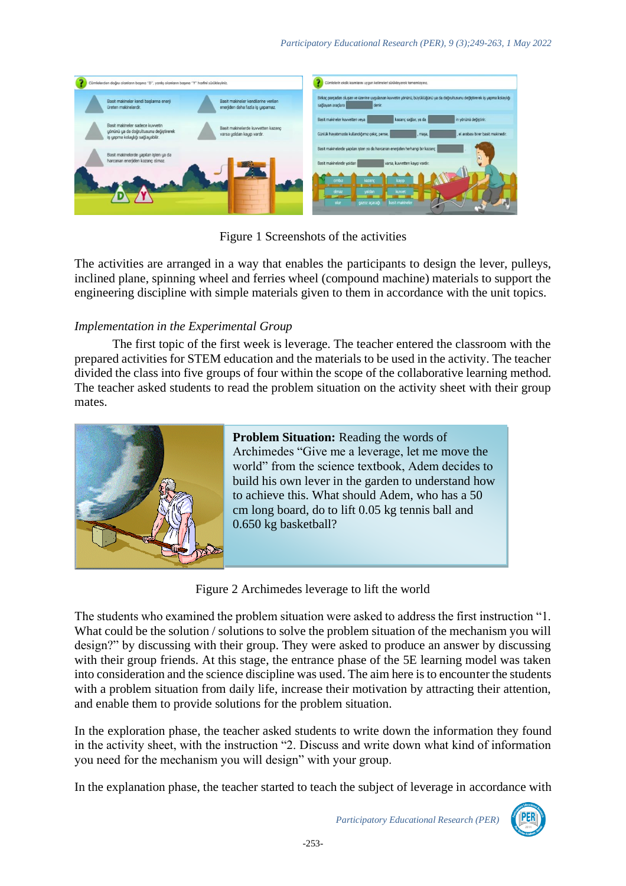

Figure 1 Screenshots of the activities

The activities are arranged in a way that enables the participants to design the lever, pulleys, inclined plane, spinning wheel and ferries wheel (compound machine) materials to support the engineering discipline with simple materials given to them in accordance with the unit topics.

## *Implementation in the Experimental Group*

The first topic of the first week is leverage. The teacher entered the classroom with the prepared activities for STEM education and the materials to be used in the activity. The teacher divided the class into five groups of four within the scope of the collaborative learning method. The teacher asked students to read the problem situation on the activity sheet with their group mates.



## **Problem Situation:** Reading the words of

Archimedes "Give me a leverage, let me move the world" from the science textbook, Adem decides to build his own lever in the garden to understand how to achieve this. What should Adem, who has a 50 cm long board, do to lift 0.05 kg tennis ball and 0.650 kg basketball?

Figure 2 Archimedes leverage to lift the world

The students who examined the problem situation were asked to address the first instruction "1. What could be the solution / solutions to solve the problem situation of the mechanism you will design?" by discussing with their group. They were asked to produce an answer by discussing with their group friends. At this stage, the entrance phase of the 5E learning model was taken into consideration and the science discipline was used. The aim here is to encounter the students with a problem situation from daily life, increase their motivation by attracting their attention, and enable them to provide solutions for the problem situation.

In the exploration phase, the teacher asked students to write down the information they found in the activity sheet, with the instruction "2. Discuss and write down what kind of information you need for the mechanism you will design" with your group.

In the explanation phase, the teacher started to teach the subject of leverage in accordance with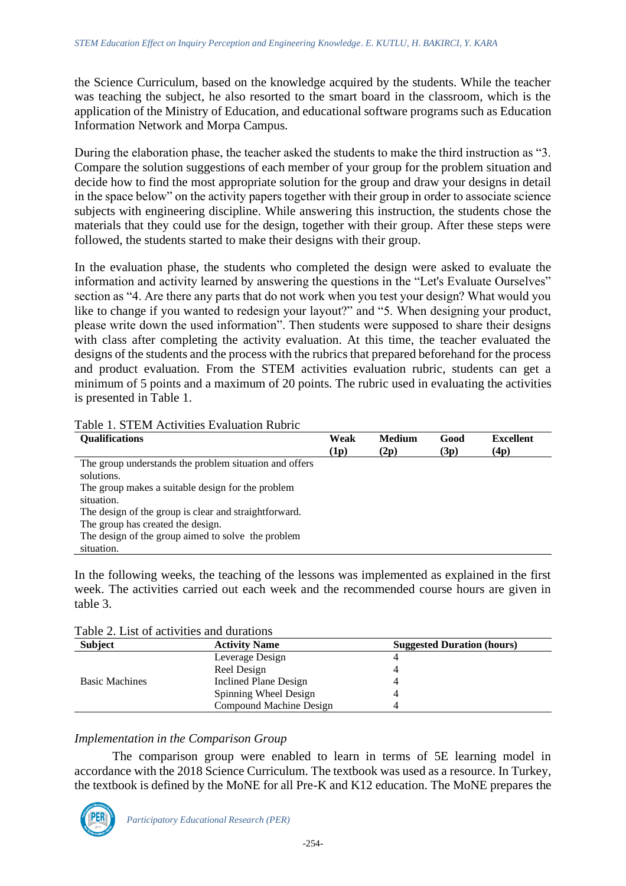the Science Curriculum, based on the knowledge acquired by the students. While the teacher was teaching the subject, he also resorted to the smart board in the classroom, which is the application of the Ministry of Education, and educational software programs such as Education Information Network and Morpa Campus.

During the elaboration phase, the teacher asked the students to make the third instruction as "3. Compare the solution suggestions of each member of your group for the problem situation and decide how to find the most appropriate solution for the group and draw your designs in detail in the space below" on the activity papers together with their group in order to associate science subjects with engineering discipline. While answering this instruction, the students chose the materials that they could use for the design, together with their group. After these steps were followed, the students started to make their designs with their group.

In the evaluation phase, the students who completed the design were asked to evaluate the information and activity learned by answering the questions in the "Let's Evaluate Ourselves" section as "4. Are there any parts that do not work when you test your design? What would you like to change if you wanted to redesign your layout?" and "5. When designing your product, please write down the used information". Then students were supposed to share their designs with class after completing the activity evaluation. At this time, the teacher evaluated the designs of the students and the process with the rubrics that prepared beforehand for the process and product evaluation. From the STEM activities evaluation rubric, students can get a minimum of 5 points and a maximum of 20 points. The rubric used in evaluating the activities is presented in Table 1.

| <b>Qualifications</b>                                  | Weak<br>(1p) | <b>Medium</b><br>(2p) | Good<br>(3p) | <b>Excellent</b><br>(4p) |
|--------------------------------------------------------|--------------|-----------------------|--------------|--------------------------|
| The group understands the problem situation and offers |              |                       |              |                          |
| solutions.                                             |              |                       |              |                          |
| The group makes a suitable design for the problem      |              |                       |              |                          |
| situation.                                             |              |                       |              |                          |
| The design of the group is clear and straightforward.  |              |                       |              |                          |
| The group has created the design.                      |              |                       |              |                          |
| The design of the group aimed to solve the problem     |              |                       |              |                          |
| situation.                                             |              |                       |              |                          |

### Table 1. STEM Activities Evaluation Rubric

In the following weeks, the teaching of the lessons was implemented as explained in the first week. The activities carried out each week and the recommended course hours are given in table 3.

| Table 2. List of activities and durations |  |
|-------------------------------------------|--|
|-------------------------------------------|--|

| <b>Subject</b>        | <b>Activity Name</b>    | <b>Suggested Duration (hours)</b> |
|-----------------------|-------------------------|-----------------------------------|
|                       | Leverage Design         |                                   |
|                       | Reel Design             |                                   |
| <b>Basic Machines</b> | Inclined Plane Design   |                                   |
|                       | Spinning Wheel Design   |                                   |
|                       | Compound Machine Design |                                   |

## *Implementation in the Comparison Group*

The comparison group were enabled to learn in terms of 5E learning model in accordance with the 2018 Science Curriculum. The textbook was used as a resource. In Turkey, the textbook is defined by the MoNE for all Pre-K and K12 education. The MoNE prepares the

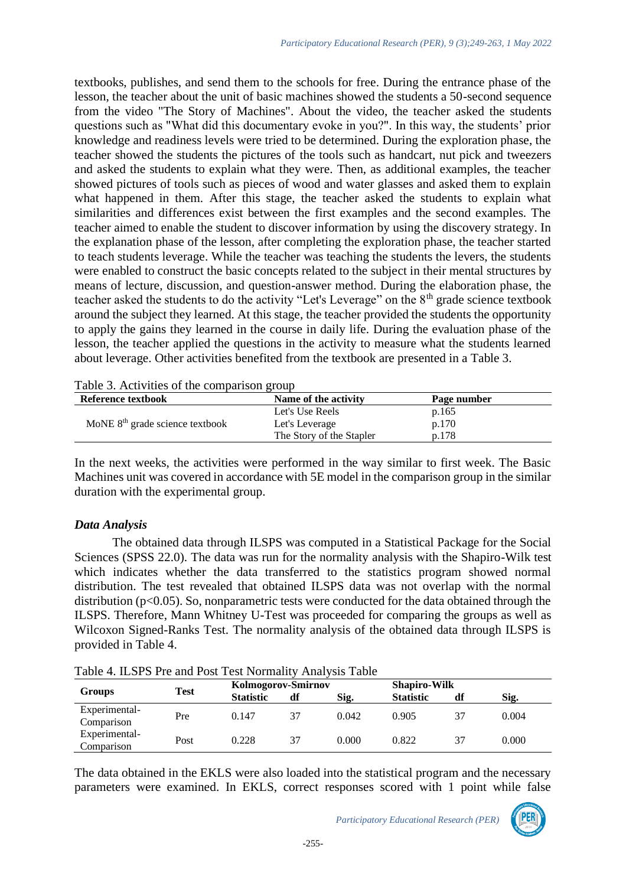textbooks, publishes, and send them to the schools for free. During the entrance phase of the lesson, the teacher about the unit of basic machines showed the students a 50-second sequence from the video "The Story of Machines". About the video, the teacher asked the students questions such as "What did this documentary evoke in you?". In this way, the students' prior knowledge and readiness levels were tried to be determined. During the exploration phase, the teacher showed the students the pictures of the tools such as handcart, nut pick and tweezers and asked the students to explain what they were. Then, as additional examples, the teacher showed pictures of tools such as pieces of wood and water glasses and asked them to explain what happened in them. After this stage, the teacher asked the students to explain what similarities and differences exist between the first examples and the second examples. The teacher aimed to enable the student to discover information by using the discovery strategy. In the explanation phase of the lesson, after completing the exploration phase, the teacher started to teach students leverage. While the teacher was teaching the students the levers, the students were enabled to construct the basic concepts related to the subject in their mental structures by means of lecture, discussion, and question-answer method. During the elaboration phase, the teacher asked the students to do the activity "Let's Leverage" on the 8<sup>th</sup> grade science textbook around the subject they learned. At this stage, the teacher provided the students the opportunity to apply the gains they learned in the course in daily life. During the evaluation phase of the lesson, the teacher applied the questions in the activity to measure what the students learned about leverage. Other activities benefited from the textbook are presented in a Table 3.

|  | Table 3. Activities of the comparison group |  |
|--|---------------------------------------------|--|
|  |                                             |  |

| Reference textbook                | Name of the activity     | Page number |  |
|-----------------------------------|--------------------------|-------------|--|
|                                   | Let's Use Reels          | p.165       |  |
| MoNE $8th$ grade science textbook | Let's Leverage           | p.170       |  |
|                                   | The Story of the Stapler | p.178       |  |

In the next weeks, the activities were performed in the way similar to first week. The Basic Machines unit was covered in accordance with 5E model in the comparison group in the similar duration with the experimental group.

#### *Data Analysis*

The obtained data through ILSPS was computed in a Statistical Package for the Social Sciences (SPSS 22.0). The data was run for the normality analysis with the Shapiro-Wilk test which indicates whether the data transferred to the statistics program showed normal distribution. The test revealed that obtained ILSPS data was not overlap with the normal distribution (p<0.05). So, nonparametric tests were conducted for the data obtained through the ILSPS. Therefore, Mann Whitney U-Test was proceeded for comparing the groups as well as Wilcoxon Signed-Ranks Test. The normality analysis of the obtained data through ILSPS is provided in Table 4.

|  |  |  |  |  |  | Table 4. ILSPS Pre and Post Test Normality Analysis Table |  |
|--|--|--|--|--|--|-----------------------------------------------------------|--|
|--|--|--|--|--|--|-----------------------------------------------------------|--|

|                             | <b>Test</b> |                  | Kolmogorov-Smirnov |       |                  | <b>Shapiro-Wilk</b> |       |  |
|-----------------------------|-------------|------------------|--------------------|-------|------------------|---------------------|-------|--|
| <b>Groups</b>               |             | <b>Statistic</b> | df                 | Sig.  | <b>Statistic</b> | df                  | Sig.  |  |
| Experimental-<br>Comparison | Pre         | 0.147            | 37                 | 0.042 | 0.905            | 37                  | 0.004 |  |
| Experimental-<br>Comparison | Post        | 0.228            | 37                 | 0.000 | 0.822            | 37                  | 0.000 |  |

The data obtained in the EKLS were also loaded into the statistical program and the necessary parameters were examined. In EKLS, correct responses scored with 1 point while false

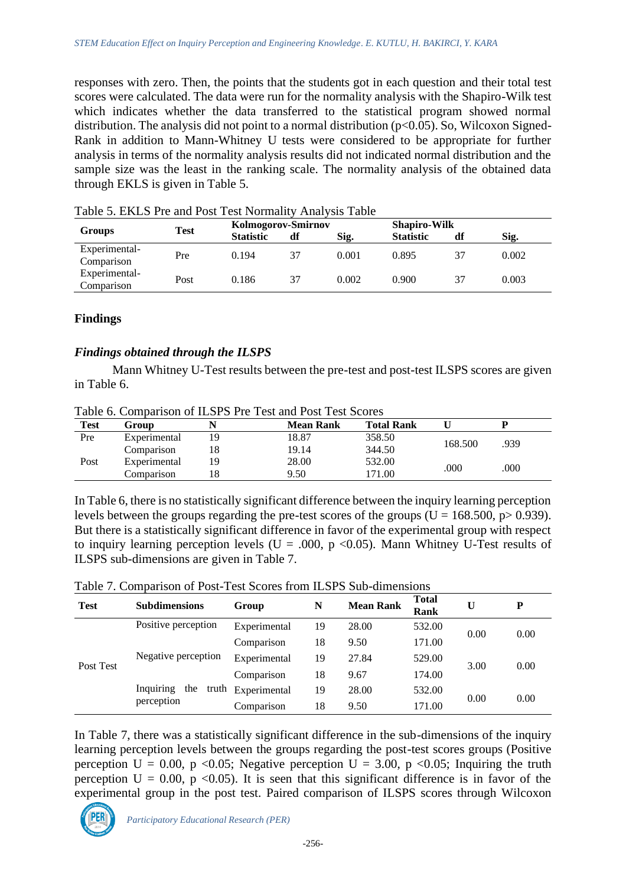responses with zero. Then, the points that the students got in each question and their total test scores were calculated. The data were run for the normality analysis with the Shapiro-Wilk test which indicates whether the data transferred to the statistical program showed normal distribution. The analysis did not point to a normal distribution  $(p<0.05)$ . So, Wilcoxon Signed-Rank in addition to Mann-Whitney U tests were considered to be appropriate for further analysis in terms of the normality analysis results did not indicated normal distribution and the sample size was the least in the ranking scale. The normality analysis of the obtained data through EKLS is given in Table 5.

| <b>Groups</b>               | <b>Test</b> |                  | Kolmogorov-Smirnov |       |                  | <b>Shapiro-Wilk</b> |       |  |
|-----------------------------|-------------|------------------|--------------------|-------|------------------|---------------------|-------|--|
|                             |             | <b>Statistic</b> | df                 | Sig.  | <b>Statistic</b> | df                  | Sig.  |  |
| Experimental-<br>Comparison | Pre         | 0.194            | 37                 | 0.001 | 0.895            | 37                  | 0.002 |  |
| Experimental-<br>Comparison | Post        | 0.186            | 37                 | 0.002 | 0.900            | 37                  | 0.003 |  |

Table 5. EKLS Pre and Post Test Normality Analysis Table

### **Findings**

### *Findings obtained through the ILSPS*

Mann Whitney U-Test results between the pre-test and post-test ILSPS scores are given in Table 6.

| <b>Test</b> | Group        |    | <b>Mean Rank</b> | <b>Total Rank</b> |         |      |
|-------------|--------------|----|------------------|-------------------|---------|------|
| Pre         | Experimental | 19 | 18.87            | 358.50            |         |      |
|             | Comparison   | 18 | 19.14            | 344.50            | 168.500 | .939 |
| Post        | Experimental | 19 | 28.00            | 532.00            | .000    | .000 |
|             | Comparison   |    | 9.50             | 171.00            |         |      |

Table 6. Comparison of ILSPS Pre Test and Post Test Scores

In Table 6, there is no statistically significant difference between the inquiry learning perception levels between the groups regarding the pre-test scores of the groups ( $U = 168.500$ ,  $p > 0.939$ ). But there is a statistically significant difference in favor of the experimental group with respect to inquiry learning perception levels ( $U = .000$ ,  $p < 0.05$ ). Mann Whitney U-Test results of ILSPS sub-dimensions are given in Table 7.

|  |  |  |  |  | Table 7. Comparison of Post-Test Scores from ILSPS Sub-dimensions |
|--|--|--|--|--|-------------------------------------------------------------------|
|--|--|--|--|--|-------------------------------------------------------------------|

| <b>Test</b> | <b>Subdimensions</b>      | Group        | N  | <b>Mean Rank</b> | <b>Total</b><br>Rank |      | P    |
|-------------|---------------------------|--------------|----|------------------|----------------------|------|------|
| Post Test   | Positive perception       | Experimental | 19 | 28.00            | 532.00               | 0.00 | 0.00 |
|             |                           | Comparison   | 18 | 9.50             | 171.00               |      |      |
|             | Negative perception       | Experimental | 19 | 27.84            | 529.00               |      | 0.00 |
|             |                           | Comparison   | 18 | 9.67             | 174.00               | 3.00 |      |
|             | Inquiring<br>the<br>truth | Experimental | 19 | 28.00            | 532.00               |      |      |
|             | perception                | Comparison   | 18 | 9.50             | 171.00               | 0.00 | 0.00 |

In Table 7, there was a statistically significant difference in the sub-dimensions of the inquiry learning perception levels between the groups regarding the post-test scores groups (Positive perception  $U = 0.00$ , p <0.05; Negative perception  $U = 3.00$ , p <0.05; Inquiring the truth perception  $U = 0.00$ , p < 0.05). It is seen that this significant difference is in favor of the experimental group in the post test. Paired comparison of ILSPS scores through Wilcoxon

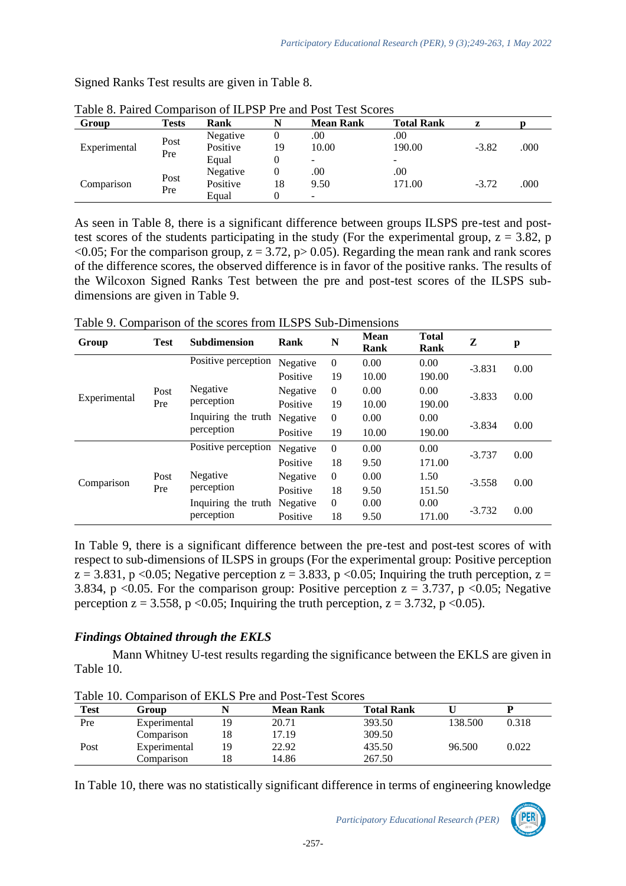| Group        | <b>Tests</b> | Rank     |    | <b>Mean Rank</b>         | <b>Total Rank</b> |         |      |
|--------------|--------------|----------|----|--------------------------|-------------------|---------|------|
| Experimental | Post<br>Pre  | Negative |    | .00                      | .00               |         |      |
|              |              | Positive | 19 | 10.00                    | 190.00            | $-3.82$ | .000 |
|              |              | Equal    |    | $\sim$                   | -                 |         |      |
| Comparison   | Post         | Negative |    | .00                      | .00               |         |      |
|              |              | Positive | 18 | 9.50                     | 171.00            | $-3.72$ | .000 |
|              | Pre          | Equal    |    | $\overline{\phantom{a}}$ |                   |         |      |

Signed Ranks Test results are given in Table 8.

| Table 8. Paired Comparison of ILPSP Pre and Post Test Scores |       |          |  |           |                   |  |  |  |
|--------------------------------------------------------------|-------|----------|--|-----------|-------------------|--|--|--|
| Group                                                        | Tests | Rank     |  | Mean Rank | <b>Total Rank</b> |  |  |  |
|                                                              |       | Negative |  |           | 00                |  |  |  |

As seen in Table 8, there is a significant difference between groups ILSPS pre-test and posttest scores of the students participating in the study (For the experimental group,  $z = 3.82$ , p  $\leq 0.05$ ; For the comparison group,  $z = 3.72$ ,  $p > 0.05$ ). Regarding the mean rank and rank scores of the difference scores, the observed difference is in favor of the positive ranks. The results of the Wilcoxon Signed Ranks Test between the pre and post-test scores of the ILSPS subdimensions are given in Table 9.

Table 9. Comparison of the scores from ILSPS Sub-Dimensions

| Group        | <b>Test</b> | <b>Subdimension</b> | Rank     | N              | <b>Mean</b><br>Rank | <b>Total</b><br>Rank | Z        | p    |
|--------------|-------------|---------------------|----------|----------------|---------------------|----------------------|----------|------|
| Experimental | Post<br>Pre | Positive perception | Negative | $\theta$       | 0.00                | 0.00                 | $-3.831$ | 0.00 |
|              |             |                     | Positive | 19             | 10.00               | 190.00               |          |      |
|              |             | Negative            | Negative | $\theta$       | 0.00                | 0.00                 | $-3.833$ | 0.00 |
|              |             | perception          | Positive | 19             | 10.00               | 190.00               |          |      |
|              |             | Inquiring the truth | Negative | $\theta$       | 0.00                | 0.00                 | $-3.834$ | 0.00 |
|              |             | perception          | Positive | 19             | 10.00               | 190.00               |          |      |
| Comparison   | Post<br>Pre | Positive perception | Negative | $\mathbf{0}$   | 0.00                | 0.00                 | $-3.737$ | 0.00 |
|              |             |                     | Positive | 18             | 9.50                | 171.00               |          |      |
|              |             | Negative            | Negative | $\overline{0}$ | 0.00                | 1.50                 | $-3.558$ | 0.00 |
|              |             | perception          | Positive | 18             | 9.50                | 151.50               |          |      |
|              |             | Inquiring the truth | Negative | $\overline{0}$ | 0.00                | 0.00                 | $-3.732$ |      |
|              |             | perception          | Positive | 18             | 9.50                | 171.00               |          | 0.00 |

In Table 9, there is a significant difference between the pre-test and post-test scores of with respect to sub-dimensions of ILSPS in groups (For the experimental group: Positive perception  $z = 3.831$ , p <0.05; Negative perception  $z = 3.833$ , p <0.05; Inquiring the truth perception,  $z =$ 3.834, p <0.05. For the comparison group: Positive perception  $z = 3.737$ , p <0.05; Negative perception  $z = 3.558$ , p <0.05; Inquiring the truth perception,  $z = 3.732$ , p <0.05).

## *Findings Obtained through the EKLS*

Mann Whitney U-test results regarding the significance between the EKLS are given in Table 10.

| Test | Group        |    | <b>Mean Rank</b> | <b>Total Rank</b> |         |       |
|------|--------------|----|------------------|-------------------|---------|-------|
| Pre  | Experimental | 19 | 20.71            | 393.50            | 138.500 | 0.318 |
|      | Comparison   | 18 | 17.19            | 309.50            |         |       |
| Post | Experimental | 19 | 22.92            | 435.50            | 96.500  | 0.022 |
|      | Comparison   | 18 | 14.86            | 267.50            |         |       |

Table 10. Comparison of EKLS Pre and Post-Test Scores

In Table 10, there was no statistically significant difference in terms of engineering knowledge

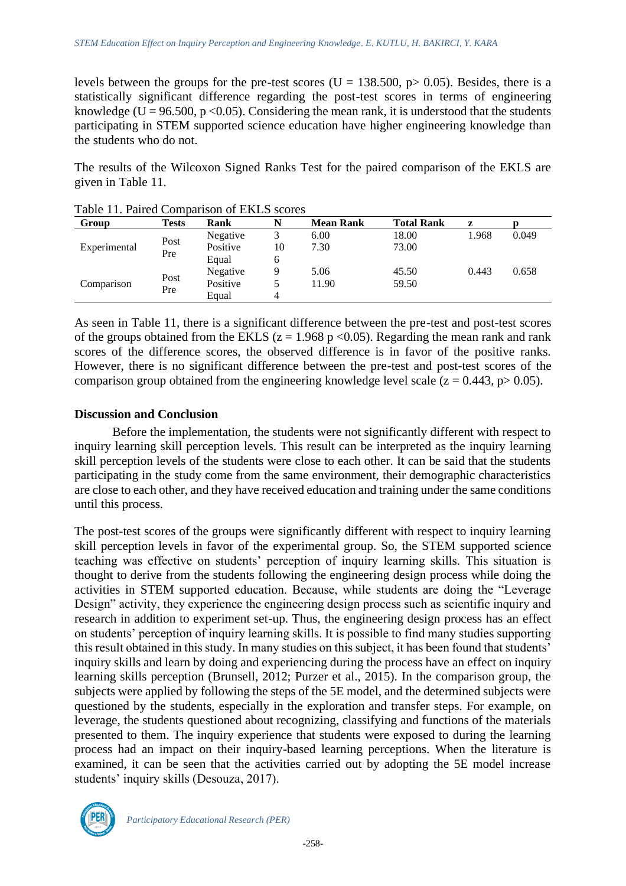levels between the groups for the pre-test scores (U = 138.500,  $p > 0.05$ ). Besides, there is a statistically significant difference regarding the post-test scores in terms of engineering knowledge (U = 96.500, p < 0.05). Considering the mean rank, it is understood that the students participating in STEM supported science education have higher engineering knowledge than the students who do not.

The results of the Wilcoxon Signed Ranks Test for the paired comparison of the EKLS are given in Table 11.

| Table 11. I alleg Combatison of ERES Scores<br>Group | <b>Tests</b> | Rank                          |         | <b>Mean Rank</b> | <b>Total Rank</b> | z     |       |
|------------------------------------------------------|--------------|-------------------------------|---------|------------------|-------------------|-------|-------|
| Experimental                                         | Post<br>Pre  | Negative                      | 3       | 6.00             | 18.00             | 1.968 | 0.049 |
|                                                      |              | Positive<br>Equal             | 10<br>6 | 7.30             | 73.00             |       |       |
| Comparison                                           | Post<br>Pre  | Negative<br>Positive<br>Equal | 5.<br>4 | 5.06<br>11.90    | 45.50<br>59.50    | 0.443 | 0.658 |

Table 11. Paired Comparison of EKLS scores

As seen in Table 11, there is a significant difference between the pre-test and post-test scores of the groups obtained from the EKLS ( $z = 1.968$  p < 0.05). Regarding the mean rank and rank scores of the difference scores, the observed difference is in favor of the positive ranks. However, there is no significant difference between the pre-test and post-test scores of the comparison group obtained from the engineering knowledge level scale  $(z = 0.443, p > 0.05)$ .

### **Discussion and Conclusion**

Before the implementation, the students were not significantly different with respect to inquiry learning skill perception levels. This result can be interpreted as the inquiry learning skill perception levels of the students were close to each other. It can be said that the students participating in the study come from the same environment, their demographic characteristics are close to each other, and they have received education and training under the same conditions until this process.

The post-test scores of the groups were significantly different with respect to inquiry learning skill perception levels in favor of the experimental group. So, the STEM supported science teaching was effective on students' perception of inquiry learning skills. This situation is thought to derive from the students following the engineering design process while doing the activities in STEM supported education. Because, while students are doing the "Leverage Design" activity, they experience the engineering design process such as scientific inquiry and research in addition to experiment set-up. Thus, the engineering design process has an effect on students' perception of inquiry learning skills. It is possible to find many studies supporting this result obtained in this study. In many studies on this subject, it has been found that students' inquiry skills and learn by doing and experiencing during the process have an effect on inquiry learning skills perception (Brunsell, 2012; Purzer et al., 2015). In the comparison group, the subjects were applied by following the steps of the 5E model, and the determined subjects were questioned by the students, especially in the exploration and transfer steps. For example, on leverage, the students questioned about recognizing, classifying and functions of the materials presented to them. The inquiry experience that students were exposed to during the learning process had an impact on their inquiry-based learning perceptions. When the literature is examined, it can be seen that the activities carried out by adopting the 5E model increase students' inquiry skills (Desouza, 2017).

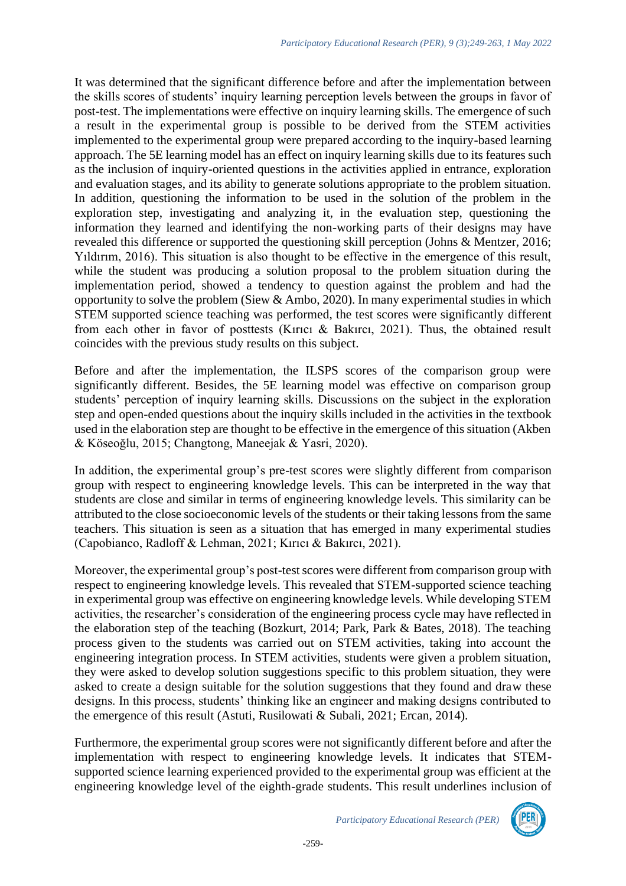It was determined that the significant difference before and after the implementation between the skills scores of students' inquiry learning perception levels between the groups in favor of post-test. The implementations were effective on inquiry learning skills. The emergence of such a result in the experimental group is possible to be derived from the STEM activities implemented to the experimental group were prepared according to the inquiry-based learning approach. The 5E learning model has an effect on inquiry learning skills due to its features such as the inclusion of inquiry-oriented questions in the activities applied in entrance, exploration and evaluation stages, and its ability to generate solutions appropriate to the problem situation. In addition, questioning the information to be used in the solution of the problem in the exploration step, investigating and analyzing it, in the evaluation step, questioning the information they learned and identifying the non-working parts of their designs may have revealed this difference or supported the questioning skill perception (Johns & Mentzer, 2016; Yıldırım, 2016). This situation is also thought to be effective in the emergence of this result, while the student was producing a solution proposal to the problem situation during the implementation period, showed a tendency to question against the problem and had the opportunity to solve the problem (Siew & Ambo, 2020). In many experimental studies in which STEM supported science teaching was performed, the test scores were significantly different from each other in favor of posttests (Kırıcı & Bakırcı, 2021). Thus, the obtained result coincides with the previous study results on this subject.

Before and after the implementation, the ILSPS scores of the comparison group were significantly different. Besides, the 5E learning model was effective on comparison group students' perception of inquiry learning skills. Discussions on the subject in the exploration step and open-ended questions about the inquiry skills included in the activities in the textbook used in the elaboration step are thought to be effective in the emergence of this situation (Akben & Köseoğlu, 2015; Changtong, Maneejak & Yasri, 2020).

In addition, the experimental group's pre-test scores were slightly different from comparison group with respect to engineering knowledge levels. This can be interpreted in the way that students are close and similar in terms of engineering knowledge levels. This similarity can be attributed to the close socioeconomic levels of the students or their taking lessons from the same teachers. This situation is seen as a situation that has emerged in many experimental studies (Capobianco, Radloff & Lehman, 2021; Kırıcı & Bakırcı, 2021).

Moreover, the experimental group's post-test scores were different from comparison group with respect to engineering knowledge levels. This revealed that STEM-supported science teaching in experimental group was effective on engineering knowledge levels. While developing STEM activities, the researcher's consideration of the engineering process cycle may have reflected in the elaboration step of the teaching (Bozkurt, 2014; Park, Park & Bates, 2018). The teaching process given to the students was carried out on STEM activities, taking into account the engineering integration process. In STEM activities, students were given a problem situation, they were asked to develop solution suggestions specific to this problem situation, they were asked to create a design suitable for the solution suggestions that they found and draw these designs. In this process, students' thinking like an engineer and making designs contributed to the emergence of this result (Astuti, Rusilowati & Subali, 2021; Ercan, 2014).

Furthermore, the experimental group scores were not significantly different before and after the implementation with respect to engineering knowledge levels. It indicates that STEMsupported science learning experienced provided to the experimental group was efficient at the engineering knowledge level of the eighth-grade students. This result underlines inclusion of

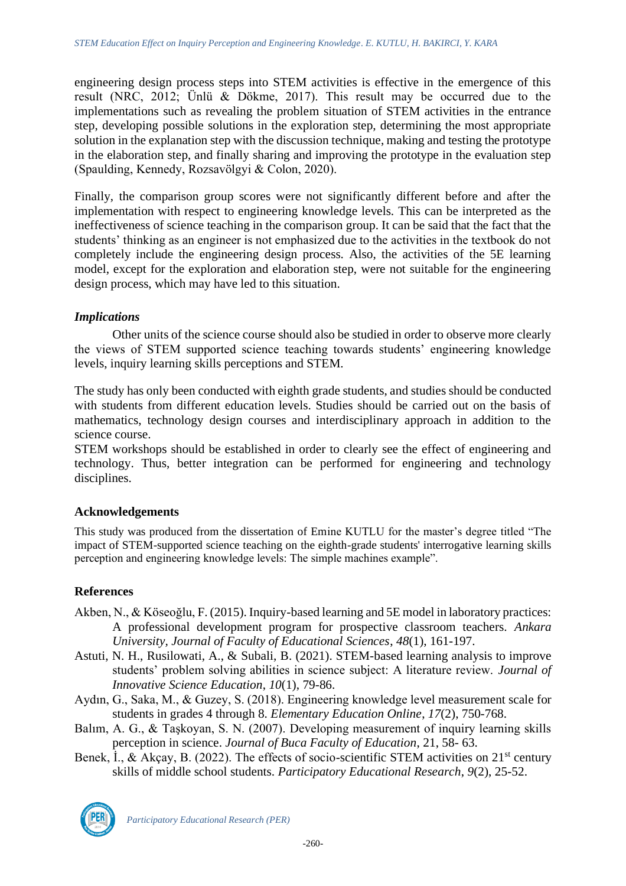engineering design process steps into STEM activities is effective in the emergence of this result (NRC, 2012; Ünlü & Dökme, 2017). This result may be occurred due to the implementations such as revealing the problem situation of STEM activities in the entrance step, developing possible solutions in the exploration step, determining the most appropriate solution in the explanation step with the discussion technique, making and testing the prototype in the elaboration step, and finally sharing and improving the prototype in the evaluation step (Spaulding, Kennedy, Rozsavölgyi & Colon, 2020).

Finally, the comparison group scores were not significantly different before and after the implementation with respect to engineering knowledge levels. This can be interpreted as the ineffectiveness of science teaching in the comparison group. It can be said that the fact that the students' thinking as an engineer is not emphasized due to the activities in the textbook do not completely include the engineering design process. Also, the activities of the 5E learning model, except for the exploration and elaboration step, were not suitable for the engineering design process, which may have led to this situation.

### *Implications*

Other units of the science course should also be studied in order to observe more clearly the views of STEM supported science teaching towards students' engineering knowledge levels, inquiry learning skills perceptions and STEM.

The study has only been conducted with eighth grade students, and studies should be conducted with students from different education levels. Studies should be carried out on the basis of mathematics, technology design courses and interdisciplinary approach in addition to the science course.

STEM workshops should be established in order to clearly see the effect of engineering and technology. Thus, better integration can be performed for engineering and technology disciplines.

#### **Acknowledgements**

This study was produced from the dissertation of Emine KUTLU for the master's degree titled "The impact of STEM-supported science teaching on the eighth-grade students' interrogative learning skills perception and engineering knowledge levels: The simple machines example".

## **References**

- Akben, N., & Köseoğlu, F. (2015). Inquiry-based learning and 5E model in laboratory practices: A professional development program for prospective classroom teachers. *Ankara University, Journal of Faculty of Educational Sciences*, *48*(1), 161-197.
- Astuti, N. H., Rusilowati, A., & Subali, B. (2021). STEM-based learning analysis to improve students' problem solving abilities in science subject: A literature review. *Journal of Innovative Science Education*, *10*(1), 79-86.
- Aydın, G., Saka, M., & Guzey, S. (2018). Engineering knowledge level measurement scale for students in grades 4 through 8. *Elementary Education Online*, *17*(2), 750-768.
- Balım, A. G., & Taşkoyan, S. N. (2007). Developing measurement of inquiry learning skills perception in science. *Journal of Buca Faculty of Education*, 21, 58- 63.
- Benek, I., & Akçay, B. (2022). The effects of socio-scientific STEM activities on  $21<sup>st</sup>$  century skills of middle school students. *Participatory Educational Research*, *9*(2), 25-52.



*Participatory Educational Research (PER)*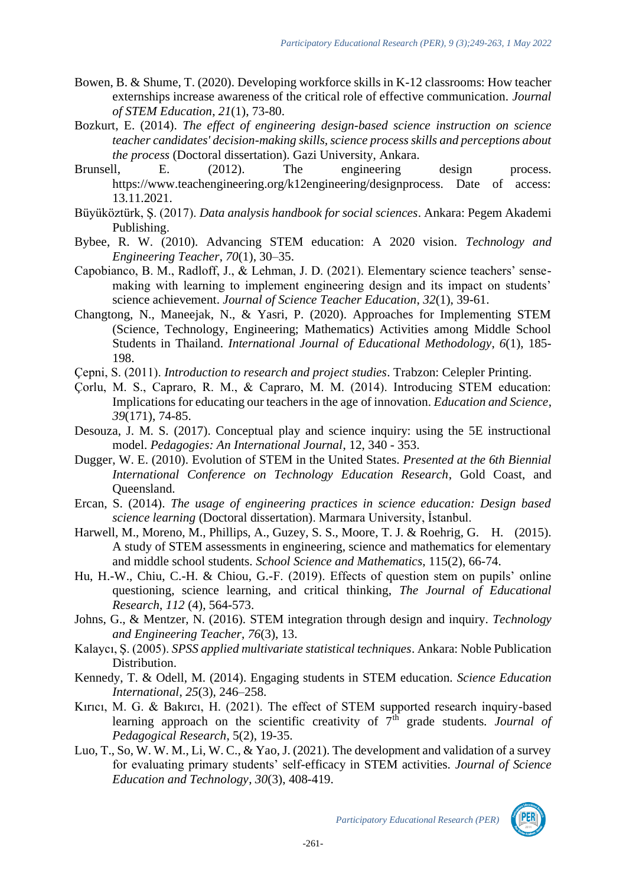- Bowen, B. & Shume, T. (2020). Developing workforce skills in K-12 classrooms: How teacher externships increase awareness of the critical role of effective communication. *Journal of STEM Education*, *21*(1), 73-80.
- Bozkurt, E. (2014). *The effect of engineering design-based science instruction on science teacher candidates' decision-making skills, science process skills and perceptions about the process* (Doctoral dissertation). Gazi University, Ankara.
- Brunsell, E. (2012). The engineering design process. https://www.teachengineering.org/k12engineering/designprocess. Date of access: 13.11.2021.
- Büyüköztürk, Ş. (2017). *Data analysis handbook for social sciences*. Ankara: Pegem Akademi Publishing.
- Bybee, R. W. (2010). Advancing STEM education: A 2020 vision. *Technology and Engineering Teacher*, *70*(1), 30–35.
- Capobianco, B. M., Radloff, J., & Lehman, J. D. (2021). Elementary science teachers' sensemaking with learning to implement engineering design and its impact on students' science achievement. *Journal of Science Teacher Education*, *32*(1), 39-61.
- Changtong, N., Maneejak, N., & Yasri, P. (2020). Approaches for Implementing STEM (Science, Technology, Engineering; Mathematics) Activities among Middle School Students in Thailand. *International Journal of Educational Methodology*, *6*(1), 185- 198.
- Çepni, S. (2011). *Introduction to research and project studies*. Trabzon: Celepler Printing.
- Çorlu, M. S., Capraro, R. M., & Capraro, M. M. (2014). Introducing STEM education: Implications for educating our teachers in the age of innovation. *Education and Science*, *39*(171), 74-85.
- Desouza, J. M. S. (2017). Conceptual play and science inquiry: using the 5E instructional model. *Pedagogies: An International Journal*, 12, 340 - 353.
- Dugger, W. E. (2010). Evolution of STEM in the United States. *Presented at the 6th Biennial International Conference on Technology Education Research*, Gold Coast, and Queensland.
- Ercan, S. (2014). *The usage of engineering practices in science education: Design based science learning* (Doctoral dissertation). Marmara University, İstanbul.
- Harwell, M., Moreno, M., Phillips, A., Guzey, S. S., Moore, T. J. & Roehrig, G. H. (2015). A study of STEM assessments in engineering, science and mathematics for elementary and middle school students. *School Science and Mathematics*, 115(2), 66-74.
- Hu, H.-W., Chiu, C.-H. & Chiou, G.-F. (2019). Effects of question stem on pupils' online questioning, science learning, and critical thinking, *The Journal of Educational Research*, *112* (4), 564-573.
- Johns, G., & Mentzer, N. (2016). STEM integration through design and inquiry. *Technology and Engineering Teacher*, *76*(3), 13.
- Kalaycı, Ş. (2005). *SPSS applied multivariate statistical techniques*. Ankara: Noble Publication Distribution.
- Kennedy, T. & Odell, M. (2014). Engaging students in STEM education. *Science Education International*, *25*(3), 246–258.
- Kırıcı, M. G. & Bakırcı, H. (2021). The effect of STEM supported research inquiry-based learning approach on the scientific creativity of 7<sup>th</sup> grade students. *Journal of Pedagogical Research*, 5(2), 19-35.
- Luo, T., So, W. W. M., Li, W. C., & Yao, J. (2021). The development and validation of a survey for evaluating primary students' self-efficacy in STEM activities. *Journal of Science Education and Technology*, *30*(3), 408-419.